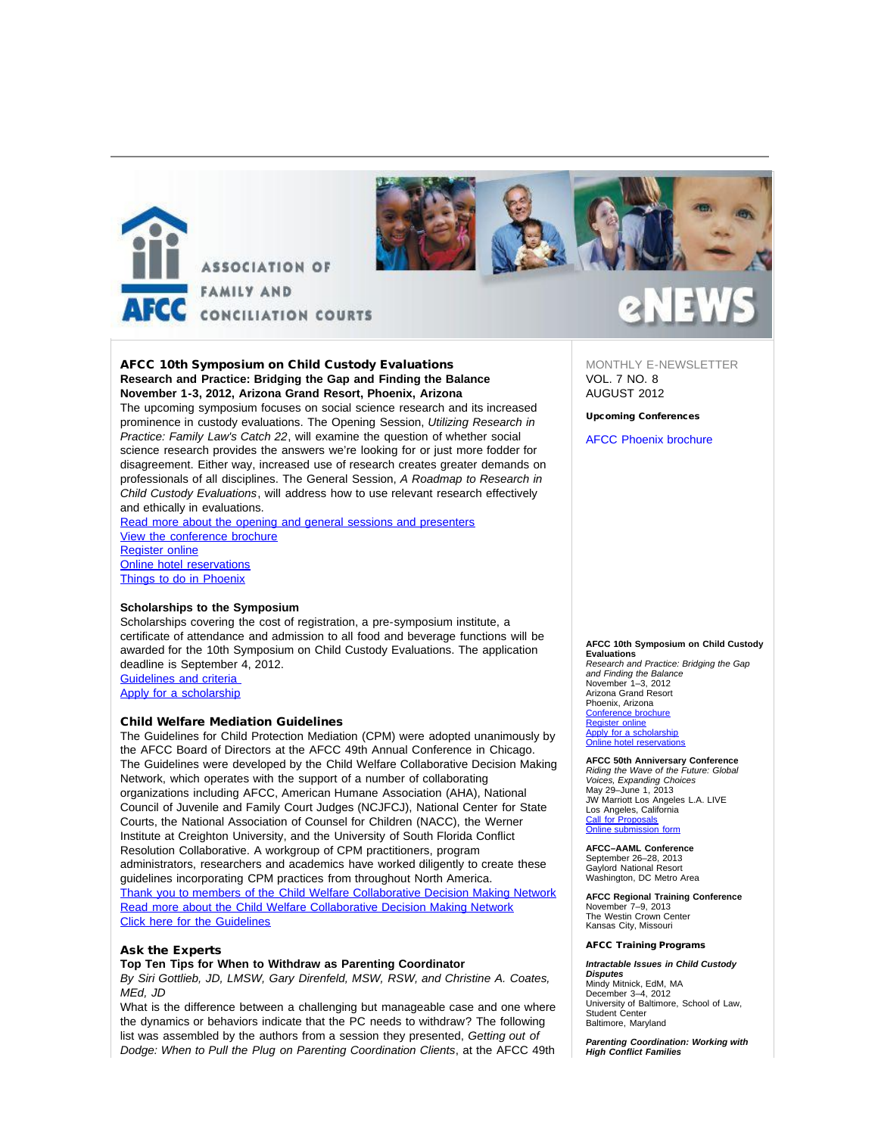



## AFCC 10th Symposium on Child Custody Evaluations **Research and Practice: Bridging the Gap and Finding the Balance November 1-3, 2012, Arizona Grand Resort, Phoenix, Arizona**

The upcoming symposium focuses on social science research and its increased prominence in custody evaluations. The Opening Session, *Utilizing Research in Practice: Family Law's Catch 22*, will examine the question of whether social science research provides the answers we're looking for or just more fodder for disagreement. Either way, increased use of research creates greater demands on professionals of all disciplines. The General Session, *A Roadmap to Research in Child Custody Evaluations*, will address how to use relevant research effectively and ethically in evaluations.

[Read more about the opening and general sessions and presenters](http://afcc.networkats.com/members_online/utilities/emailct.asp?e2e467d4defcd27b18d96cac6396d231363e4d89) [View the conference brochure](http://afcc.networkats.com/members_online/utilities/emailct.asp?e33d883019a7ad51ac38e5686d30d265a9cb6b6d) [Register online](http://afcc.networkats.com/members_online/utilities/emailct.asp?72156f4785a9c81e6f9ca6d686af60e79d9b1d66) [Online hotel reservations](http://afcc.networkats.com/members_online/utilities/emailct.asp?c974b98cfdca40b1a4afd6d068cc9fae7de0cb67) [Things to do in Phoenix](http://afcc.networkats.com/members_online/utilities/emailct.asp?716d005404c77cc83fe5930ef4640f3089261bbe)

## **Scholarships to the Symposium**

Scholarships covering the cost of registration, a pre-symposium institute, a certificate of attendance and admission to all food and beverage functions will be awarded for the 10th Symposium on Child Custody Evaluations. The application deadline is September 4, 2012. [Guidelines and criteria](http://afcc.networkats.com/members_online/utilities/emailct.asp?e1cb615e71ccf3814218496ef30096dfc5e62f11)

[Apply for a scholarship](http://afcc.networkats.com/members_online/utilities/emailct.asp?013bc6e81b3aee77fa545fc360ea10d0b4923225)

## Child Welfare Mediation Guidelines

The Guidelines for Child Protection Mediation (CPM) were adopted unanimously by the AFCC Board of Directors at the AFCC 49th Annual Conference in Chicago. The Guidelines were developed by the Child Welfare Collaborative Decision Making Network, which operates with the support of a number of collaborating organizations including AFCC, American Humane Association (AHA), National Council of Juvenile and Family Court Judges (NCJFCJ), National Center for State Courts, the National Association of Counsel for Children (NACC), the Werner Institute at Creighton University, and the University of South Florida Conflict Resolution Collaborative. A workgroup of CPM practitioners, program administrators, researchers and academics have worked diligently to create these guidelines incorporating CPM practices from throughout North America. [Thank you to members of the Child Welfare Collaborative Decision Making Network](http://afcc.networkats.com/members_online/utilities/emailct.asp?266dd5d1da6b47fdcac94b5e99fc7129252acd46) [Read more about the Child Welfare Collaborative Decision Making Network](http://afcc.networkats.com/members_online/utilities/emailct.asp?8c9dfa3fee9c95dbdf72666dc7fea90321c91b76) [Click here for the Guidelines](http://afcc.networkats.com/members_online/utilities/emailct.asp?e301d0bd744d577c8edf6aba0699048b944ecea0)

## Ask the Experts

### **Top Ten Tips for When to Withdraw as Parenting Coordinator**

*By Siri Gottlieb, JD, LMSW, Gary Direnfeld, MSW, RSW, and Christine A. Coates, MEd, JD*

What is the difference between a challenging but manageable case and one where the dynamics or behaviors indicate that the PC needs to withdraw? The following list was assembled by the authors from a session they presented, *Getting out of Dodge: When to Pull the Plug on Parenting Coordination Clients*, at the AFCC 49th

MONTHLY E-NEWSLETTER VOL. 7 NO. 8 AUGUST 2012

## Upcoming Conferences

[AFCC Phoenix brochure](http://afcc.networkats.com/members_online/utilities/emailct.asp?e33d883019a7ad51ac38e5686d30d265a9cb6b6d)

#### **AFCC 10th Symposium on Child Custody Evaluations**

*Research and Practice: Bridging the Gap and Finding the Balance* November 1–3, 2012 Arizona Grand Resort Phoenix, Arizona [Conference brochure](http://afcc.networkats.com/members_online/utilities/emailct.asp?e33d883019a7ad51ac38e5686d30d265a9cb6b6d) [Register online](http://afcc.networkats.com/members_online/utilities/emailct.asp?72156f4785a9c81e6f9ca6d686af60e79d9b1d66) [Apply for a scholarship](http://afcc.networkats.com/members_online/utilities/emailct.asp?013bc6e81b3aee77fa545fc360ea10d0b4923225) [Online hotel reservations](http://afcc.networkats.com/members_online/utilities/emailct.asp?c974b98cfdca40b1a4afd6d068cc9fae7de0cb67)

**AFCC 50th Anniversary Conference** *Riding the Wave of the Future: Global Voices, Expanding Choices* May 29–June 1, 2013 JW Marriott Los Angeles L.A. LIVE Los Angeles, California [Call for Proposals](http://afcc.networkats.com/members_online/utilities/emailct.asp?da8724191bce560b5d483e84b7ba9e92f946cbb7) [Online submission form](http://afcc.networkats.com/members_online/utilities/emailct.asp?17d64fb4915a82792554875e1c2a0c6bb155e9ef)

**AFCC–AAML Conference** September 26–28, 2013 Gaylord National Resort Washington, DC Metro Area

**AFCC Regional Training Conference** November 7–9, 2013 The Westin Crown Center Kansas City, Missouri

## AFCC Training Programs

*Intractable Issues in Child Custody Disputes* Mindy Mitnick, EdM, MA December 3–4, 2012 University of Baltimore, School of Law, Student Center Baltimore, Maryland

*Parenting Coordination: Working with High Conflict Families*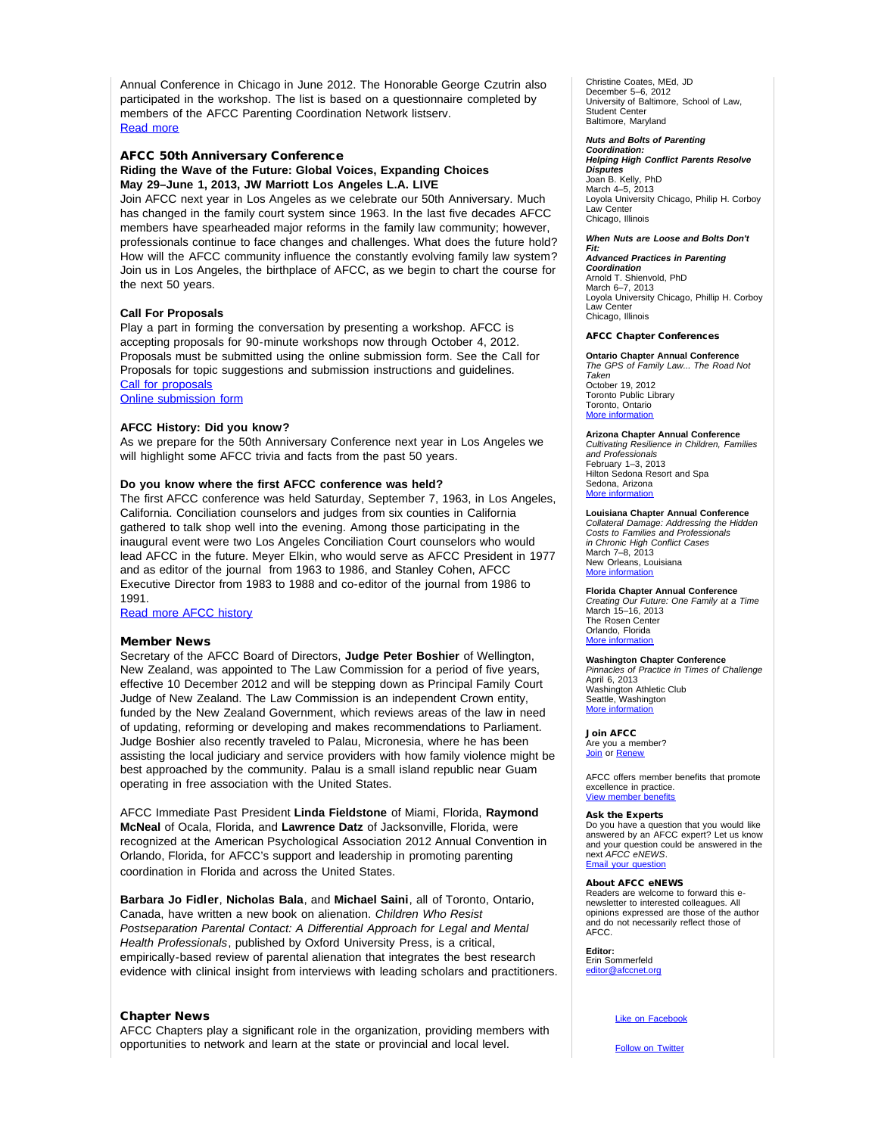Annual Conference in Chicago in June 2012. The Honorable George Czutrin also participated in the workshop. The list is based on a questionnaire completed by members of the AFCC Parenting Coordination Network listserv. [Read more](http://afcc.networkats.com/members_online/utilities/emailct.asp?308bc683b3dafb4631778ab8d88201db26b02469)

## AFCC 50th Anniversary Conference **Riding the Wave of the Future: Global Voices, Expanding Choices May 29–June 1, 2013, JW Marriott Los Angeles L.A. LIVE**

Join AFCC next year in Los Angeles as we celebrate our 50th Anniversary. Much has changed in the family court system since 1963. In the last five decades AFCC members have spearheaded major reforms in the family law community; however, professionals continue to face changes and challenges. What does the future hold? How will the AFCC community influence the constantly evolving family law system? Join us in Los Angeles, the birthplace of AFCC, as we begin to chart the course for the next 50 years.

## **Call For Proposals**

Play a part in forming the conversation by presenting a workshop. AFCC is accepting proposals for 90-minute workshops now through October 4, 2012. Proposals must be submitted using the online submission form. See the Call for Proposals for topic suggestions and submission instructions and guidelines. [Call for proposals](http://afcc.networkats.com/members_online/utilities/emailct.asp?da8724191bce560b5d483e84b7ba9e92f946cbb7)

[Online submission form](http://afcc.networkats.com/members_online/utilities/emailct.asp?17d64fb4915a82792554875e1c2a0c6bb155e9ef)

### **AFCC History: Did you know?**

As we prepare for the 50th Anniversary Conference next year in Los Angeles we will highlight some AFCC trivia and facts from the past 50 years.

### **Do you know where the first AFCC conference was held?**

The first AFCC conference was held Saturday, September 7, 1963, in Los Angeles, California. Conciliation counselors and judges from six counties in California gathered to talk shop well into the evening. Among those participating in the inaugural event were two Los Angeles Conciliation Court counselors who would lead AFCC in the future. Meyer Elkin, who would serve as AFCC President in 1977 and as editor of the journal from 1963 to 1986, and Stanley Cohen, AFCC Executive Director from 1983 to 1988 and co-editor of the journal from 1986 to 1991.

[Read more AFCC history](http://afcc.networkats.com/members_online/utilities/emailct.asp?a68ee1551203487af06bf7915f7dfa8c78ef6f33)

### Member News

Secretary of the AFCC Board of Directors, **Judge Peter Boshier** of Wellington, New Zealand, was appointed to The Law Commission for a period of five years, effective 10 December 2012 and will be stepping down as Principal Family Court Judge of New Zealand. The Law Commission is an independent Crown entity, funded by the New Zealand Government, which reviews areas of the law in need of updating, reforming or developing and makes recommendations to Parliament. Judge Boshier also recently traveled to Palau, Micronesia, where he has been assisting the local judiciary and service providers with how family violence might be best approached by the community. Palau is a small island republic near Guam operating in free association with the United States.

AFCC Immediate Past President **Linda Fieldstone** of Miami, Florida, **Raymond McNeal** of Ocala, Florida, and **Lawrence Datz** of Jacksonville, Florida, were recognized at the American Psychological Association 2012 Annual Convention in Orlando, Florida, for AFCC's support and leadership in promoting parenting coordination in Florida and across the United States.

**Barbara Jo Fidler**, **Nicholas Bala**, and **Michael Saini**, all of Toronto, Ontario, Canada, have written a new book on alienation. *Children Who Resist Postseparation Parental Contact: A Differential Approach for Legal and Mental Health Professionals*, published by Oxford University Press, is a critical, empirically-based review of parental alienation that integrates the best research evidence with clinical insight from interviews with leading scholars and practitioners.

## Chapter News

AFCC Chapters play a significant role in the organization, providing members with opportunities to network and learn at the state or provincial and local level.

Christine Coates, MEd, JD December 5–6, 2012 University of Baltimore, School of Law, Student Center Baltimore, Maryland

## *Nuts and Bolts of Parenting*

*Coordination: Helping High Conflict Parents Resolve Disputes*  Joan B. Kelly, PhD March 4–5, 2013 Loyola University Chicago, Philip H. Corboy Law Center Chicago, Illinois

#### *When Nuts are Loose and Bolts Don't*

*Fit: Advanced Practices in Parenting Coordination* Arnold T. Shienvold, PhD March 6–7, 2013 Loyola University Chicago, Phillip H. Corboy Law Center Chicago, Illinois

### AFCC Chapter Conferences

**Ontario Chapter Annual Conference** *The GPS of Family Law... The Road Not Taken* October 19, 2012 Toronto Public Library Toronto, Ontario

**Arizona Chapter Annual Conference**

*Cultivating Resilience in Children, Families and Professionals* February 1–3, 2013 Hilton Sedona Resort and Spa Sedona, Arizona [More information](http://afcc.networkats.com/members_online/utilities/emailct.asp?014fd1f3089eb5a65bb9ff917c8c5d3d3a1d5635)

[More information](http://afcc.networkats.com/members_online/utilities/emailct.asp?6d2e8bf634aa0d99bb4780277788872d6f8d5ead)

**Louisiana Chapter Annual Conference** *Collateral Damage: Addressing the Hidden Costs to Families and Professionals in Chronic High Conflict Cases* March 7–8, 2013 New Orleans, Louisiana [More information](http://afcc.networkats.com/members_online/utilities/emailct.asp?56893d1513672ac7bea44c23da2582236fd78886)

**Florida Chapter Annual Conference** *Creating Our Future: One Family at a Time* March 15–16, 2013 The Rosen Center Orlando, Florida More inform

**Washington Chapter Conference** *Pinnacles of Practice in Times of Challenge* April 6, 2013 Washington Athletic Club Seattle, Washington [More information](http://afcc.networkats.com/members_online/utilities/emailct.asp?9ad49d03991b359b1aa8c2aea4d964f5f861ecee)

Join AFCC Are you a member? [Join](http://afcc.networkats.com/members_online/utilities/emailct.asp?fbd962f66bbe5fbe8027738423a6c9b02c35d391) or [Renew](http://afcc.networkats.com/members_online/utilities/emailct.asp?1aab9580797df2d61539b4a1656607e8b893d657)

AFCC offers member benefits that promote excellence in practice. [View member benefits](http://afcc.networkats.com/members_online/utilities/emailct.asp?49712f277fb044083230efc22c632575a2348d1f)

#### Ask the Experts

Do you have a question that you would like answered by an AFCC expert? Let us know and your question could be answered in the next *AFCC eNEWS*. [Email your question](mailto:editor@afccnet.org)

#### About AFCC eNEWS

Readers are welcome to forward this enewsletter to interested colleagues. All opinions expressed are those of the author and do not necessarily reflect those of AFCC.

**Editor:**  Erin Sommerfeld

[editor@afccnet.org](mailto:editor@afccnet.org)

[Like on Facebook](http://afcc.networkats.com/members_online/utilities/emailct.asp?ab808f6053c0281282d7f322d0a37b0048dabe57)

**[Follow on Twitter](http://afcc.networkats.com/members_online/utilities/emailct.asp?2bf8119dcde9bbffab10056e6cab4399f4669fa5)**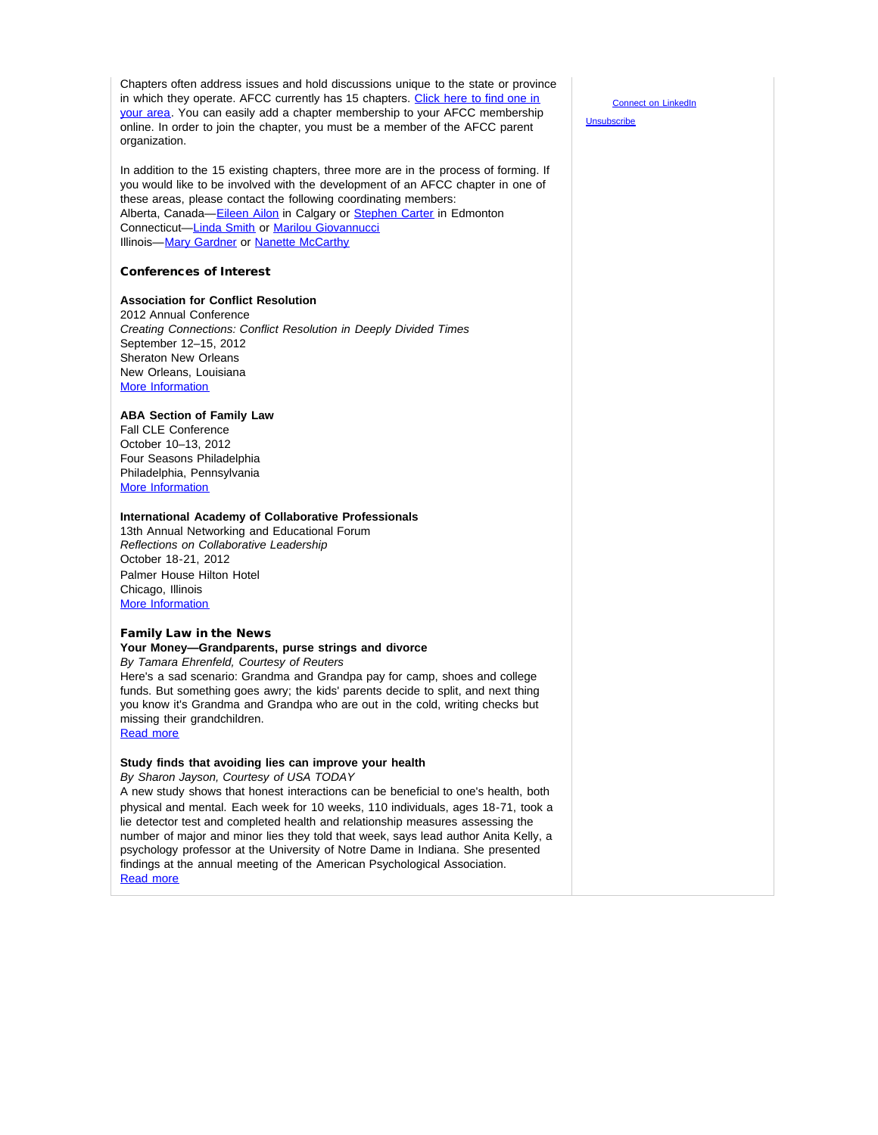Chapters often address issues and hold discussions unique to the state or province in which they operate. AFCC currently has 15 chapters. [Click here to find one in](http://afcc.networkats.com/members_online/utilities/emailct.asp?daff2ba681a53ea2700461d586c8281fcd4a1553) [your area](http://afcc.networkats.com/members_online/utilities/emailct.asp?daff2ba681a53ea2700461d586c8281fcd4a1553). You can easily add a chapter membership to your AFCC membership online. In order to join the chapter, you must be a member of the AFCC parent organization.

In addition to the 15 existing chapters, three more are in the process of forming. If you would like to be involved with the development of an AFCC chapter in one of these areas, please contact the following coordinating members: Alberta, Canada-[Eileen Ailon](mailto:eailon@worldpsych.ca) in Calgary or [Stephen Carter](mailto:carter@chvbv.ca) in Edmonton Connecticut—[Linda Smith](mailto:lindasmithphd@gmail.com) or [Marilou Giovannucci](mailto:marilou.giovannucci@jud.ct.gov) Illinois-[Mary Gardner](mailto:marydrmom@aol.com) or [Nanette McCarthy](mailto:nmccarthy@gmrfamilylaw.com)

## Conferences of Interest

## **Association for Conflict Resolution**

2012 Annual Conference *Creating Connections: Conflict Resolution in Deeply Divided Times*  September 12–15, 2012 Sheraton New Orleans New Orleans, Louisiana [More Information](http://afcc.networkats.com/members_online/utilities/emailct.asp?a69312399b4bced46098559f3c6b1f96a115b7cd)

## **ABA Section of Family Law**

Fall CLE Conference October 10–13, 2012 Four Seasons Philadelphia Philadelphia, Pennsylvania **[More Information](http://afcc.networkats.com/members_online/utilities/emailct.asp?216d41fe484821504a9e707d67eeff3a267501eb)** 

## **International Academy of Collaborative Professionals**

13th Annual Networking and Educational Forum *Reflections on Collaborative Leadership* October 18-21, 2012 Palmer House Hilton Hotel Chicago, Illinois [More Information](http://afcc.networkats.com/members_online/utilities/emailct.asp?3f78542a4aaf29ea06c76e8c0cd8f65f5b853664)

## Family Law in the News

# **Your Money—Grandparents, purse strings and divorce**

*By Tamara Ehrenfeld, Courtesy of Reuters*

Here's a sad scenario: Grandma and Grandpa pay for camp, shoes and college funds. But something goes awry; the kids' parents decide to split, and next thing you know it's Grandma and Grandpa who are out in the cold, writing checks but missing their grandchildren.

[Read more](http://afcc.networkats.com/members_online/utilities/emailct.asp?b337a9a8611f247a65e29aaa44421b6fa37c1dbe)

## **Study finds that avoiding lies can improve your health**

*By Sharon Jayson, Courtesy of USA TODAY*

A new study shows that honest interactions can be beneficial to one's health, both physical and mental. Each week for 10 weeks, 110 individuals, ages 18-71, took a lie detector test and completed health and relationship measures assessing the number of major and minor lies they told that week, says lead author Anita Kelly, a psychology professor at the University of Notre Dame in Indiana. She presented findings at the annual meeting of the American Psychological Association. [Read more](http://afcc.networkats.com/members_online/utilities/emailct.asp?7655016a3c65852d18a2c770392eb8a4fd01c171)

[Connect on LinkedIn](http://afcc.networkats.com/members_online/utilities/emailct.asp?8923466e1e397a6927023eb9d5e4c0587bbec682)

**[Unsubscribe](mailto:afcc@afccnet.org)**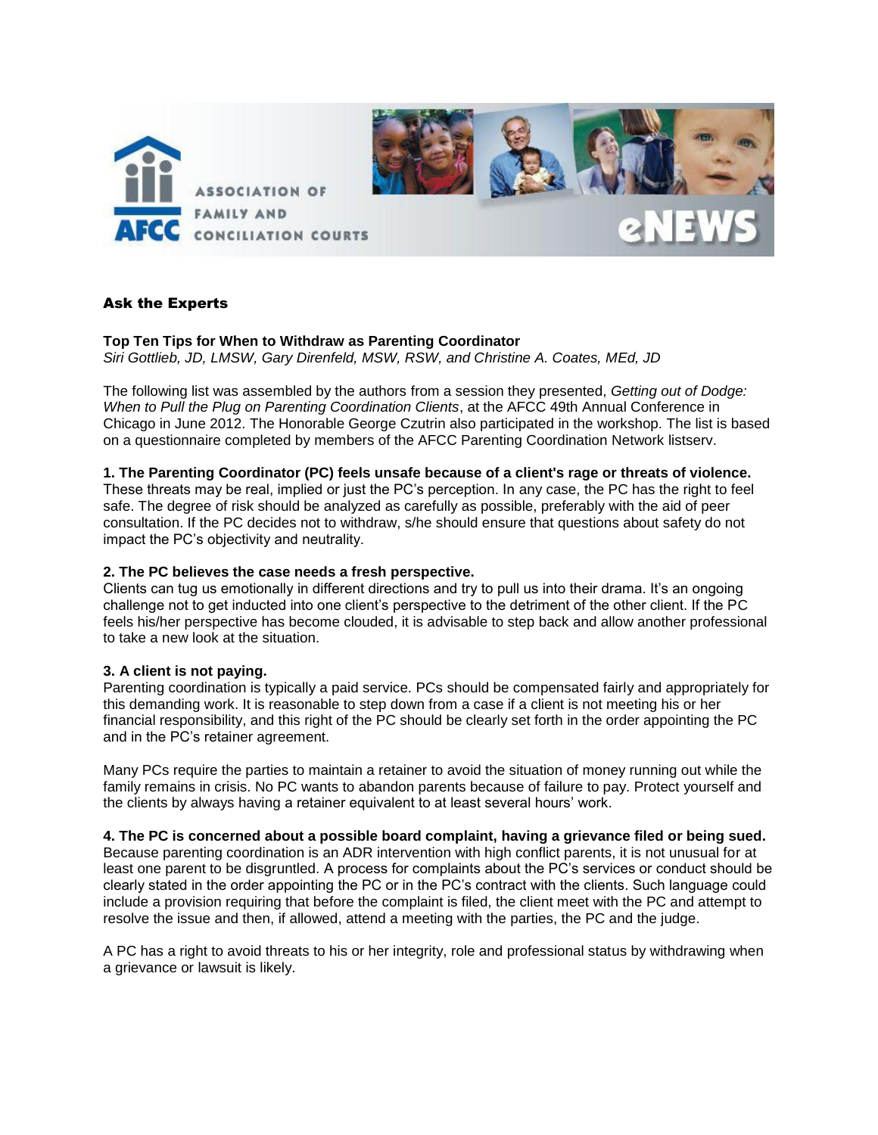

# Ask the Experts

## **Top Ten Tips for When to Withdraw as Parenting Coordinator** *Siri Gottlieb, JD, LMSW, Gary Direnfeld, MSW, RSW, and Christine A. Coates, MEd, JD*

The following list was assembled by the authors from a session they presented, *Getting out of Dodge: When to Pull the Plug on Parenting Coordination Clients*, at the AFCC 49th Annual Conference in Chicago in June 2012. The Honorable George Czutrin also participated in the workshop. The list is based on a questionnaire completed by members of the AFCC Parenting Coordination Network listserv.

# **1. The Parenting Coordinator (PC) feels unsafe because of a client's rage or threats of violence.**

These threats may be real, implied or just the PC's perception. In any case, the PC has the right to feel safe. The degree of risk should be analyzed as carefully as possible, preferably with the aid of peer consultation. If the PC decides not to withdraw, s/he should ensure that questions about safety do not impact the PC's objectivity and neutrality.

# **2. The PC believes the case needs a fresh perspective.**

Clients can tug us emotionally in different directions and try to pull us into their drama. It's an ongoing challenge not to get inducted into one client's perspective to the detriment of the other client. If the PC feels his/her perspective has become clouded, it is advisable to step back and allow another professional to take a new look at the situation.

# **3. A client is not paying.**

Parenting coordination is typically a paid service. PCs should be compensated fairly and appropriately for this demanding work. It is reasonable to step down from a case if a client is not meeting his or her financial responsibility, and this right of the PC should be clearly set forth in the order appointing the PC and in the PC's retainer agreement.

Many PCs require the parties to maintain a retainer to avoid the situation of money running out while the family remains in crisis. No PC wants to abandon parents because of failure to pay. Protect yourself and the clients by always having a retainer equivalent to at least several hours' work.

# **4. The PC is concerned about a possible board complaint, having a grievance filed or being sued.**

Because parenting coordination is an ADR intervention with high conflict parents, it is not unusual for at least one parent to be disgruntled. A process for complaints about the PC's services or conduct should be clearly stated in the order appointing the PC or in the PC's contract with the clients. Such language could include a provision requiring that before the complaint is filed, the client meet with the PC and attempt to resolve the issue and then, if allowed, attend a meeting with the parties, the PC and the judge.

A PC has a right to avoid threats to his or her integrity, role and professional status by withdrawing when a grievance or lawsuit is likely.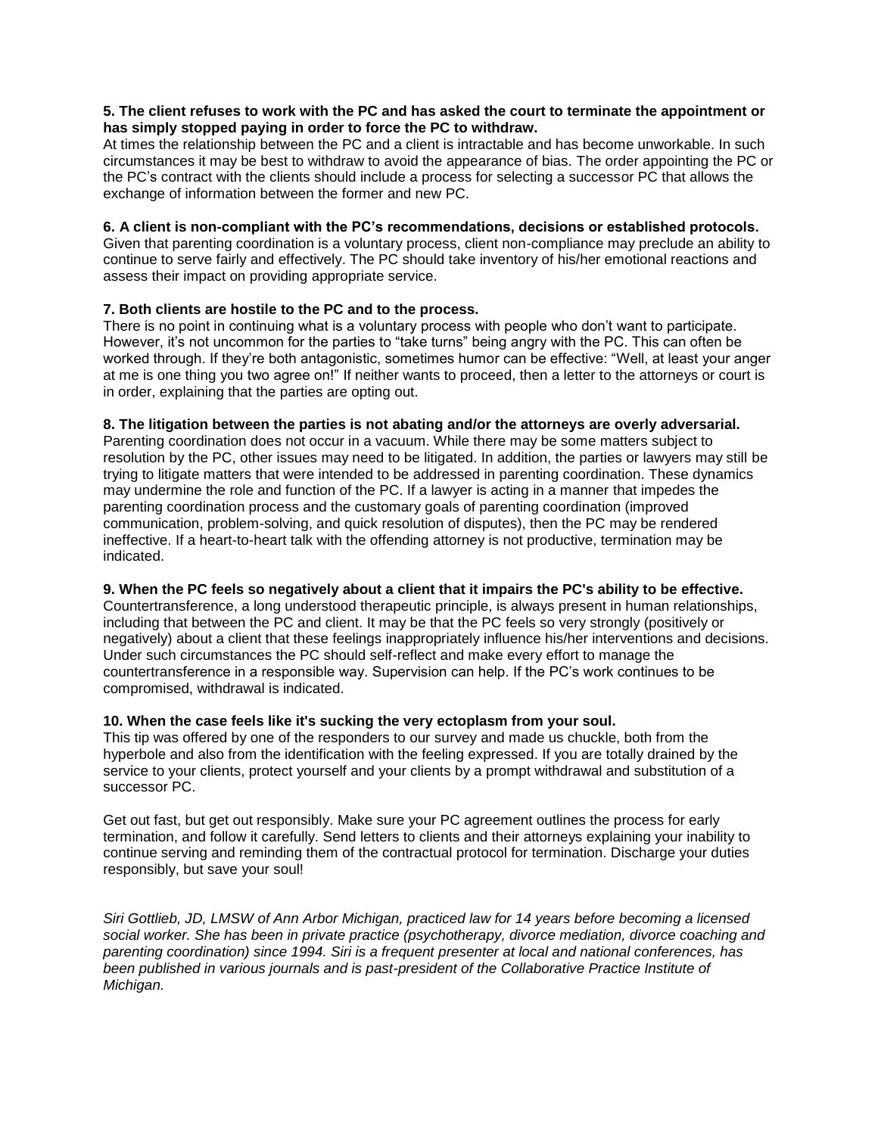# **5. The client refuses to work with the PC and has asked the court to terminate the appointment or has simply stopped paying in order to force the PC to withdraw.**

At times the relationship between the PC and a client is intractable and has become unworkable. In such circumstances it may be best to withdraw to avoid the appearance of bias. The order appointing the PC or the PC's contract with the clients should include a process for selecting a successor PC that allows the exchange of information between the former and new PC.

# **6. A client is non-compliant with the PC's recommendations, decisions or established protocols.**

Given that parenting coordination is a voluntary process, client non-compliance may preclude an ability to continue to serve fairly and effectively. The PC should take inventory of his/her emotional reactions and assess their impact on providing appropriate service.

# **7. Both clients are hostile to the PC and to the process.**

There is no point in continuing what is a voluntary process with people who don't want to participate. However, it's not uncommon for the parties to "take turns" being angry with the PC. This can often be worked through. If they're both antagonistic, sometimes humor can be effective: "Well, at least your anger at me is one thing you two agree on!" If neither wants to proceed, then a letter to the attorneys or court is in order, explaining that the parties are opting out.

# **8. The litigation between the parties is not abating and/or the attorneys are overly adversarial.**

Parenting coordination does not occur in a vacuum. While there may be some matters subject to resolution by the PC, other issues may need to be litigated. In addition, the parties or lawyers may still be trying to litigate matters that were intended to be addressed in parenting coordination. These dynamics may undermine the role and function of the PC. If a lawyer is acting in a manner that impedes the parenting coordination process and the customary goals of parenting coordination (improved communication, problem-solving, and quick resolution of disputes), then the PC may be rendered ineffective. If a heart-to-heart talk with the offending attorney is not productive, termination may be indicated.

# **9. When the PC feels so negatively about a client that it impairs the PC's ability to be effective.**

Countertransference, a long understood therapeutic principle, is always present in human relationships, including that between the PC and client. It may be that the PC feels so very strongly (positively or negatively) about a client that these feelings inappropriately influence his/her interventions and decisions. Under such circumstances the PC should self-reflect and make every effort to manage the countertransference in a responsible way. Supervision can help. If the PC's work continues to be compromised, withdrawal is indicated.

# **10. When the case feels like it's sucking the very ectoplasm from your soul.**

This tip was offered by one of the responders to our survey and made us chuckle, both from the hyperbole and also from the identification with the feeling expressed. If you are totally drained by the service to your clients, protect yourself and your clients by a prompt withdrawal and substitution of a successor PC.

Get out fast, but get out responsibly. Make sure your PC agreement outlines the process for early termination, and follow it carefully. Send letters to clients and their attorneys explaining your inability to continue serving and reminding them of the contractual protocol for termination. Discharge your duties responsibly, but save your soul!

*Siri Gottlieb, JD, LMSW of Ann Arbor Michigan, practiced law for 14 years before becoming a licensed social worker. She has been in private practice (psychotherapy, divorce mediation, divorce coaching and parenting coordination) since 1994. Siri is a frequent presenter at local and national conferences, has been published in various journals and is past-president of the Collaborative Practice Institute of Michigan.*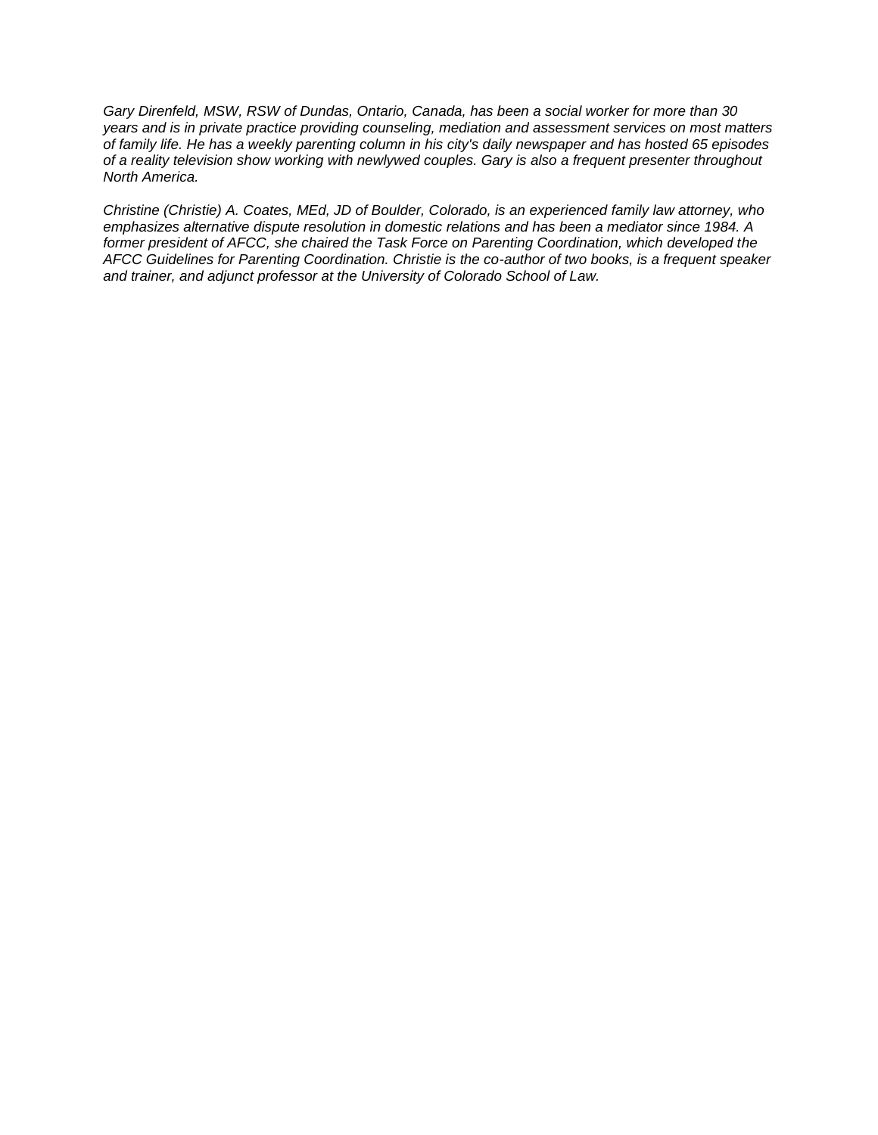*Gary Direnfeld, MSW, RSW of Dundas, Ontario, Canada, has been a social worker for more than 30 years and is in private practice providing counseling, mediation and assessment services on most matters of family life. He has a weekly parenting column in his city's daily newspaper and has hosted 65 episodes of a reality television show working with newlywed couples. Gary is also a frequent presenter throughout North America.* 

*Christine (Christie) A. Coates, MEd, JD of Boulder, Colorado, is an experienced family law attorney, who emphasizes alternative dispute resolution in domestic relations and has been a mediator since 1984. A former president of AFCC, she chaired the Task Force on Parenting Coordination, which developed the AFCC Guidelines for Parenting Coordination. Christie is the co-author of two books, is a frequent speaker and trainer, and adjunct professor at the University of Colorado School of Law.*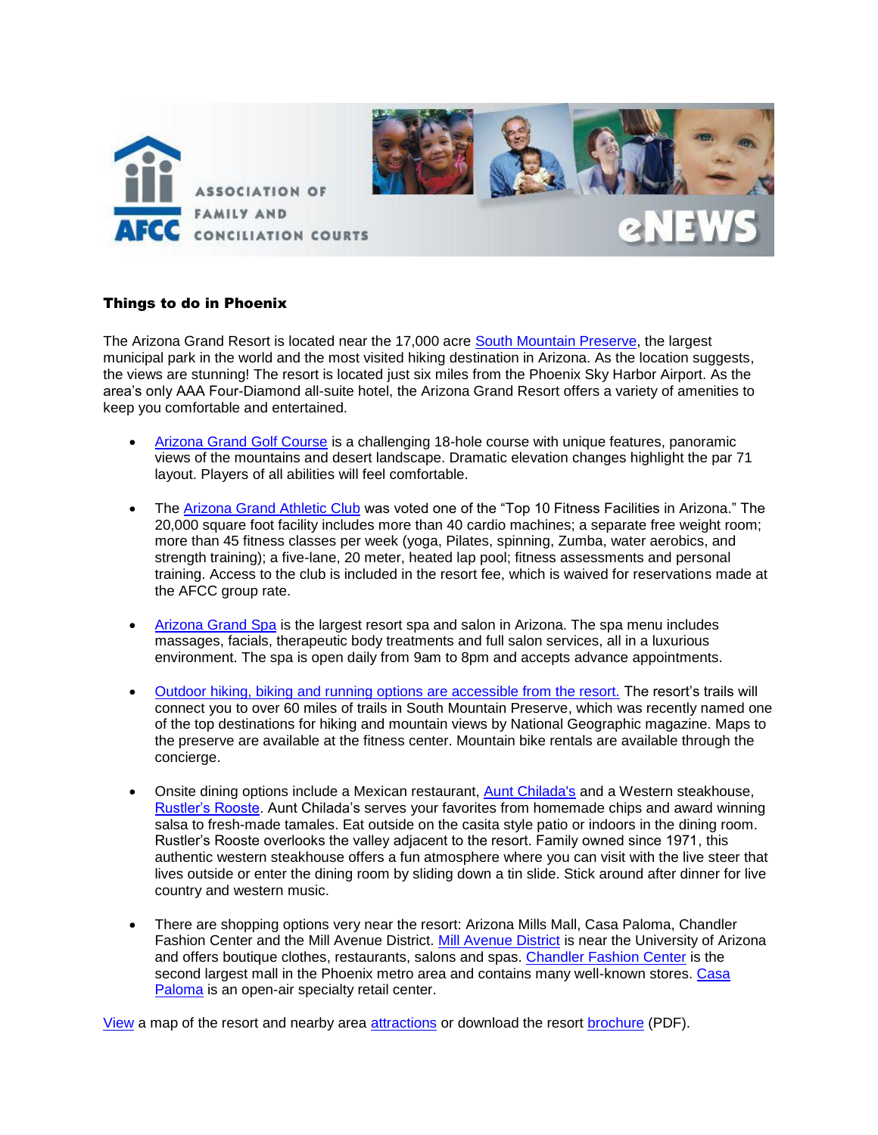

# Things to do in Phoenix

The Arizona Grand Resort is located near the 17,000 acre [South Mountain Preserve,](http://phoenix.gov/parks/trails/locations/south/index.html) the largest municipal park in the world and the most visited hiking destination in Arizona. As the location suggests, the views are stunning! The resort is located just six miles from the Phoenix Sky Harbor Airport. As the area's only AAA Four-Diamond all-suite hotel, the Arizona Grand Resort offers a variety of amenities to keep you comfortable and entertained.

- [Arizona Grand Golf Course](http://www.arizonagrandresort.com/arizona-golf-courses.php) is a challenging 18-hole course with unique features, panoramic views of the mountains and desert landscape. Dramatic elevation changes highlight the par 71 layout. Players of all abilities will feel comfortable.
- The [Arizona Grand Athletic Club](http://www.arizonagrandresort.com/phoenix-health-clubs.php) was voted one of the "Top 10 Fitness Facilities in Arizona." The 20,000 square foot facility includes more than 40 cardio machines; a separate free weight room; more than 45 fitness classes per week (yoga, Pilates, spinning, Zumba, water aerobics, and strength training); a five-lane, 20 meter, heated lap pool; fitness assessments and personal training. Access to the club is included in the resort fee, which is waived for reservations made at the AFCC group rate.
- [Arizona Grand Spa](http://www.arizonagrandresort.com/arizona-spa-resorts.php) is the largest resort spa and salon in Arizona. The spa menu includes massages, facials, therapeutic body treatments and full salon services, all in a luxurious environment. The spa is open daily from 9am to 8pm and accepts advance appointments.
- [Outdoor hiking, biking and running options are accessible from the resort.](http://www.arizonagrandresort.com/arizona-outdoor-adventures.php) The resort's trails will connect you to over 60 miles of trails in South Mountain Preserve, which was recently named one of the top destinations for hiking and mountain views by National Geographic magazine. Maps to the preserve are available at the fitness center. Mountain bike rentals are available through the concierge.
- Onsite dining options include a Mexican restaurant, [Aunt Chilada's](http://www.arizonagrandresort.com/phoenix-mexican-restaurants.php) and a Western steakhouse, [Rustler's Rooste.](http://www.arizonagrandresort.com/phoenix-steakhouse-restaurants.php) Aunt Chilada's serves your favorites from homemade chips and award winning salsa to fresh-made tamales. Eat outside on the casita style patio or indoors in the dining room. Rustler's Rooste overlooks the valley adjacent to the resort. Family owned since 1971, this authentic western steakhouse offers a fun atmosphere where you can visit with the live steer that lives outside or enter the dining room by sliding down a tin slide. Stick around after dinner for live country and western music.
- There are shopping options very near the resort: Arizona Mills Mall, Casa Paloma, Chandler Fashion Center and the Mill Avenue District. [Mill Avenue District](http://www.millavenue.com/shopping) is near the University of Arizona and offers boutique clothes, restaurants, salons and spas. [Chandler Fashion Center](http://www.shopchandlerfashioncenter.com/) is the second largest mall in the Phoenix metro area and contains many well-known stores. [Casa](http://www.shopcasapaloma.com/) [Paloma](http://www.shopcasapaloma.com/) is an open-air specialty retail center.

[View](http://www.arizonagrandresort.com/pdf/AZGrand_SiteBrochureMap8-5x11_100610.pdf) a map of the resort and nearby area [attractions](http://www.arizonagrandresort.com/pdf/Arizona-Grand_Area-Attractions-Map.pdf) or download the resort [brochure](http://www.arizonagrandresort.com/pdf/agr_brochure.pdf) (PDF).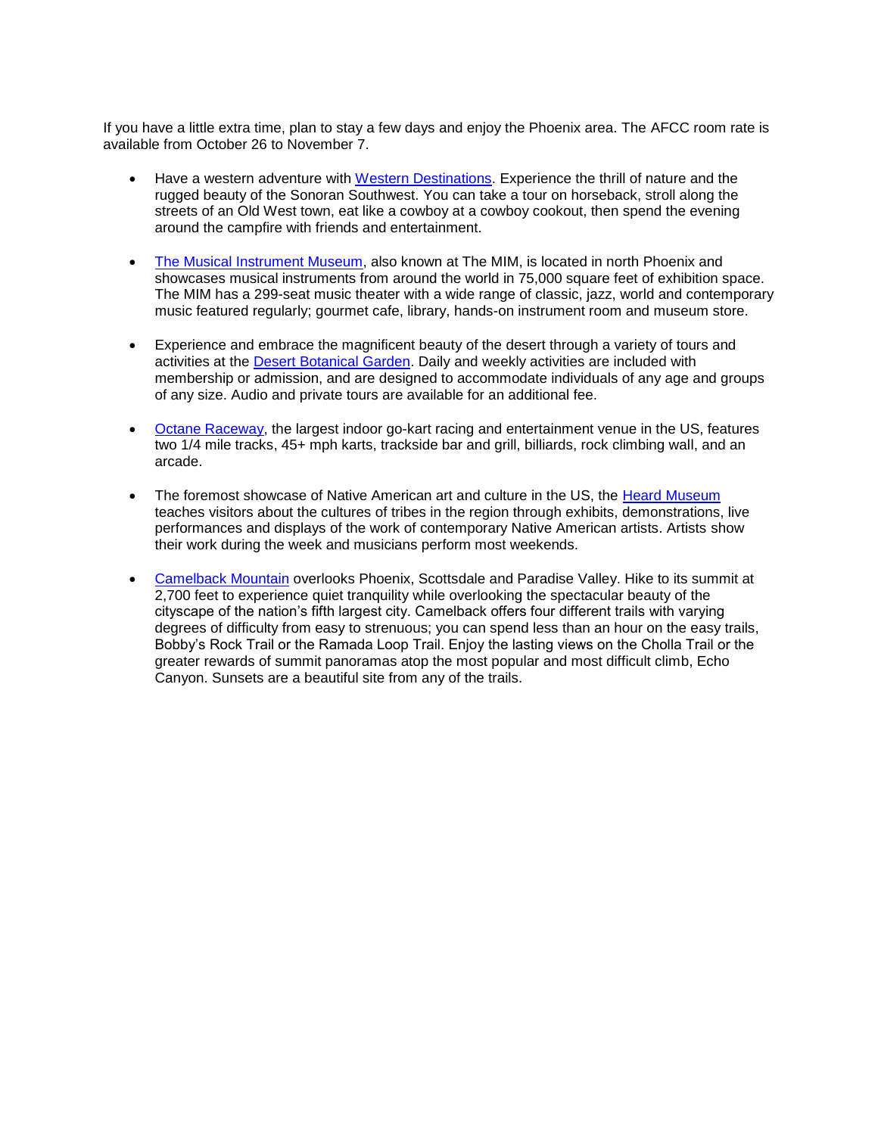If you have a little extra time, plan to stay a few days and enjoy the Phoenix area. The AFCC room rate is available from October 26 to November 7.

- Have a western adventure with [Western Destinations.](http://www.westerndestinations.com/western-destinations-overview.html#1) Experience the thrill of nature and the rugged beauty of the Sonoran Southwest. You can take a tour on horseback, stroll along the streets of an Old West town, eat like a cowboy at a cowboy cookout, then spend the evening around the campfire with friends and entertainment.
- [The Musical Instrument Museum,](http://www.themim.org/) also known at The MIM, is located in north Phoenix and showcases musical instruments from around the world in 75,000 square feet of exhibition space. The MIM has a 299-seat music theater with a wide range of classic, jazz, world and contemporary music featured regularly; gourmet cafe, library, hands-on instrument room and museum store.
- Experience and embrace the magnificent beauty of the desert through a variety of tours and activities at the [Desert Botanical Garden.](http://www.dbg.org/) Daily and weekly activities are included with membership or admission, and are designed to accommodate individuals of any age and groups of any size. Audio and private tours are available for an additional fee.
- [Octane Raceway,](http://www.octaneraceway.com/default.aspx#&panel1-2) the largest indoor go-kart racing and entertainment venue in the US, features two 1/4 mile tracks, 45+ mph karts, trackside bar and grill, billiards, rock climbing wall, and an arcade.
- The foremost showcase of Native American art and culture in the US, the [Heard Museum](http://www.heard.org/) teaches visitors about the cultures of tribes in the region through exhibits, demonstrations, live performances and displays of the work of contemporary Native American artists. Artists show their work during the week and musicians perform most weekends.
- [Camelback Mountain](http://www.phoenixasap.com/camelback-mountain.html) overlooks Phoenix, Scottsdale and Paradise Valley. Hike to its summit at 2,700 feet to experience quiet tranquility while overlooking the spectacular beauty of the cityscape of the nation's fifth largest city. Camelback offers four different trails with varying degrees of difficulty from easy to strenuous; you can spend less than an hour on the easy trails, Bobby's Rock Trail or the Ramada Loop Trail. Enjoy the lasting views on the Cholla Trail or the greater rewards of summit panoramas atop the most popular and most difficult climb, Echo Canyon. Sunsets are a beautiful site from any of the trails.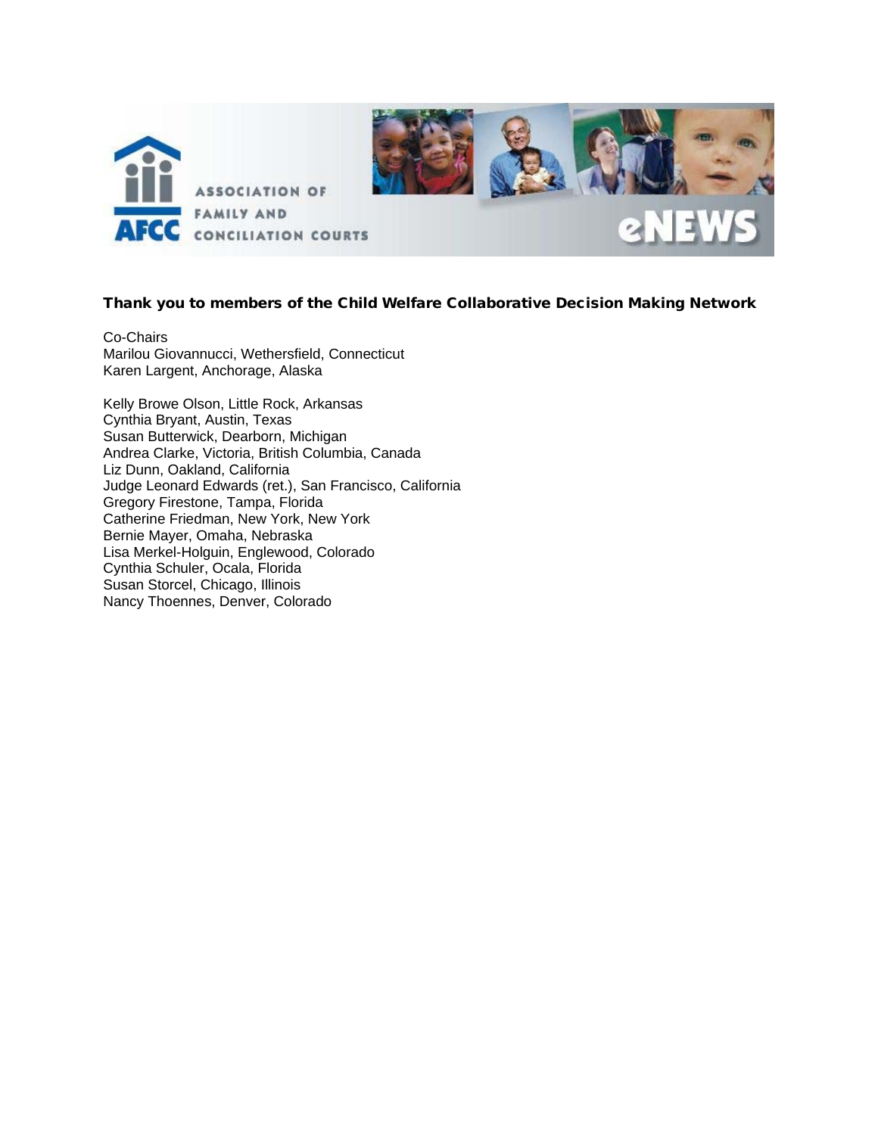

# Thank you to members of the Child Welfare Collaborative Decision Making Network

Co-Chairs Marilou Giovannucci, Wethersfield, Connecticut Karen Largent, Anchorage, Alaska

Kelly Browe Olson, Little Rock, Arkansas Cynthia Bryant, Austin, Texas Susan Butterwick, Dearborn, Michigan Andrea Clarke, Victoria, British Columbia, Canada Liz Dunn, Oakland, California Judge Leonard Edwards (ret.), San Francisco, California Gregory Firestone, Tampa, Florida Catherine Friedman, New York, New York Bernie Mayer, Omaha, Nebraska Lisa Merkel-Holguin, Englewood, Colorado Cynthia Schuler, Ocala, Florida Susan Storcel, Chicago, Illinois Nancy Thoennes, Denver, Colorado